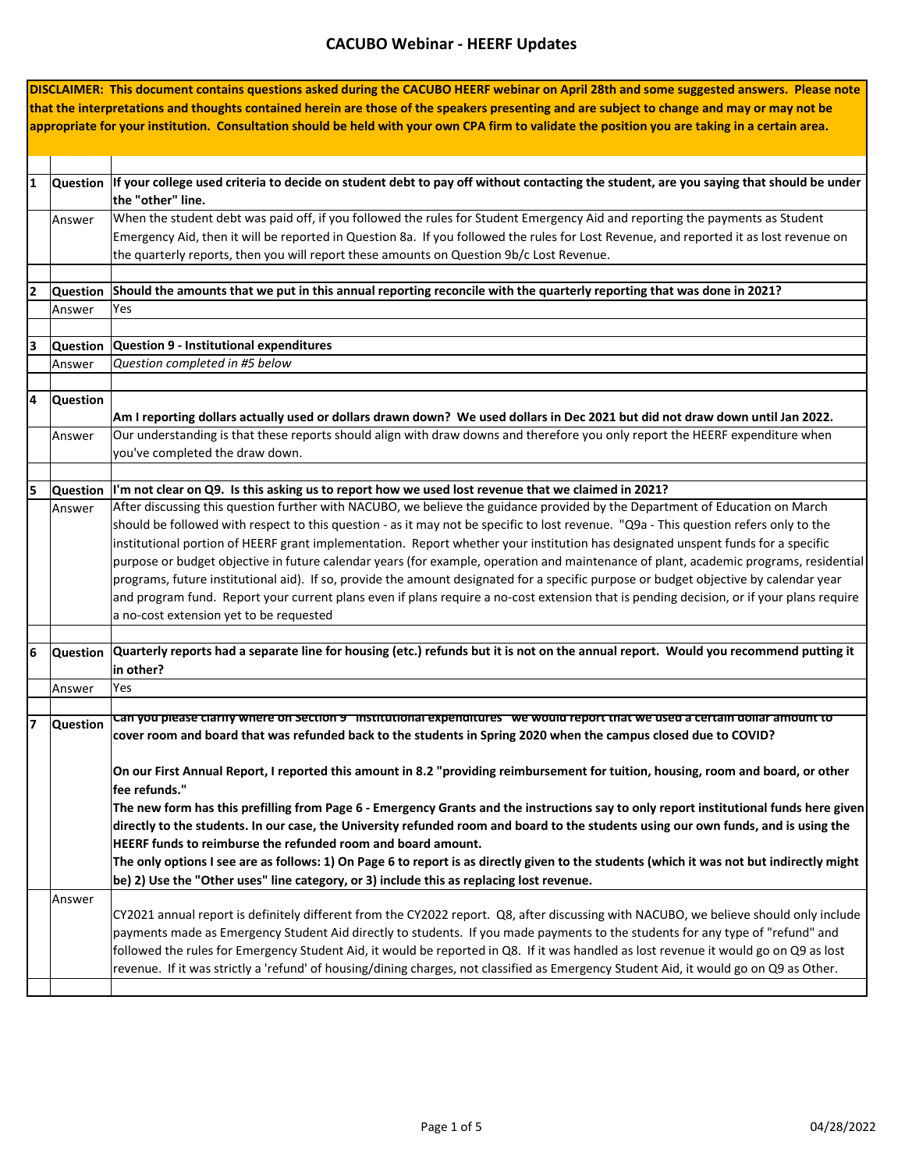|    |                 | DISCLAIMER: This document contains questions asked during the CACUBO HEERF webinar on April 28th and some suggested answers. Please note        |
|----|-----------------|-------------------------------------------------------------------------------------------------------------------------------------------------|
|    |                 | that the interpretations and thoughts contained herein are those of the speakers presenting and are subject to change and may or may not be     |
|    |                 | appropriate for your institution. Consultation should be held with your own CPA firm to validate the position you are taking in a certain area. |
|    |                 |                                                                                                                                                 |
|    |                 |                                                                                                                                                 |
|    |                 |                                                                                                                                                 |
| 11 |                 | Question If your college used criteria to decide on student debt to pay off without contacting the student, are you saying that should be under |
|    |                 | the "other" line.                                                                                                                               |
|    | Answer          | When the student debt was paid off, if you followed the rules for Student Emergency Aid and reporting the payments as Student                   |
|    |                 | Emergency Aid, then it will be reported in Question 8a. If you followed the rules for Lost Revenue, and reported it as lost revenue on          |
|    |                 | the quarterly reports, then you will report these amounts on Question 9b/c Lost Revenue.                                                        |
|    |                 |                                                                                                                                                 |
| 2  |                 | Question Should the amounts that we put in this annual reporting reconcile with the quarterly reporting that was done in 2021?                  |
|    | Answer          | Yes                                                                                                                                             |
|    |                 |                                                                                                                                                 |
| 3  | <b>Question</b> | Question 9 - Institutional expenditures                                                                                                         |
|    | Answer          | Question completed in #5 below                                                                                                                  |
|    |                 |                                                                                                                                                 |
| 14 | <b>Question</b> |                                                                                                                                                 |
|    |                 | Am I reporting dollars actually used or dollars drawn down? We used dollars in Dec 2021 but did not draw down until Jan 2022.                   |
|    |                 | Our understanding is that these reports should align with draw downs and therefore you only report the HEERF expenditure when                   |
|    | Answer          |                                                                                                                                                 |
|    |                 | you've completed the draw down.                                                                                                                 |
|    |                 |                                                                                                                                                 |
| 5  |                 | Question  I'm not clear on Q9. Is this asking us to report how we used lost revenue that we claimed in 2021?                                    |
|    | Answer          | After discussing this question further with NACUBO, we believe the guidance provided by the Department of Education on March                    |
|    |                 | should be followed with respect to this question - as it may not be specific to lost revenue. "Q9a - This question refers only to the           |
|    |                 | institutional portion of HEERF grant implementation. Report whether your institution has designated unspent funds for a specific                |
|    |                 | purpose or budget objective in future calendar years (for example, operation and maintenance of plant, academic programs, residential           |
|    |                 | programs, future institutional aid). If so, provide the amount designated for a specific purpose or budget objective by calendar year           |
|    |                 | and program fund. Report your current plans even if plans require a no-cost extension that is pending decision, or if your plans require        |
|    |                 | a no-cost extension yet to be requested                                                                                                         |
|    |                 |                                                                                                                                                 |
| 6  | <b>Question</b> | Quarterly reports had a separate line for housing (etc.) refunds but it is not on the annual report. Would you recommend putting it             |
|    |                 | in other?                                                                                                                                       |
|    | Answer          | Yes                                                                                                                                             |
|    |                 |                                                                                                                                                 |
| 17 | <b>Question</b> | Can you please clarity where on Section 9 "institutional expenditures" we would report that we used a certain dollar amount to                  |
|    |                 | cover room and board that was refunded back to the students in Spring 2020 when the campus closed due to COVID?                                 |
|    |                 |                                                                                                                                                 |
|    |                 | On our First Annual Report, I reported this amount in 8.2 "providing reimbursement for tuition, housing, room and board, or other               |
|    |                 | fee refunds."                                                                                                                                   |
|    |                 | The new form has this prefilling from Page 6 - Emergency Grants and the instructions say to only report institutional funds here given          |
|    |                 | directly to the students. In our case, the University refunded room and board to the students using our own funds, and is using the             |
|    |                 | HEERF funds to reimburse the refunded room and board amount.                                                                                    |
|    |                 | The only options I see are as follows: 1) On Page 6 to report is as directly given to the students (which it was not but indirectly might       |
|    |                 | be) 2) Use the "Other uses" line category, or 3) include this as replacing lost revenue.                                                        |
|    | Answer          |                                                                                                                                                 |
|    |                 | CY2021 annual report is definitely different from the CY2022 report. Q8, after discussing with NACUBO, we believe should only include           |
|    |                 | payments made as Emergency Student Aid directly to students. If you made payments to the students for any type of "refund" and                  |
|    |                 | followed the rules for Emergency Student Aid, it would be reported in Q8. If it was handled as lost revenue it would go on Q9 as lost           |
|    |                 | revenue. If it was strictly a 'refund' of housing/dining charges, not classified as Emergency Student Aid, it would go on Q9 as Other.          |
|    |                 |                                                                                                                                                 |
|    |                 |                                                                                                                                                 |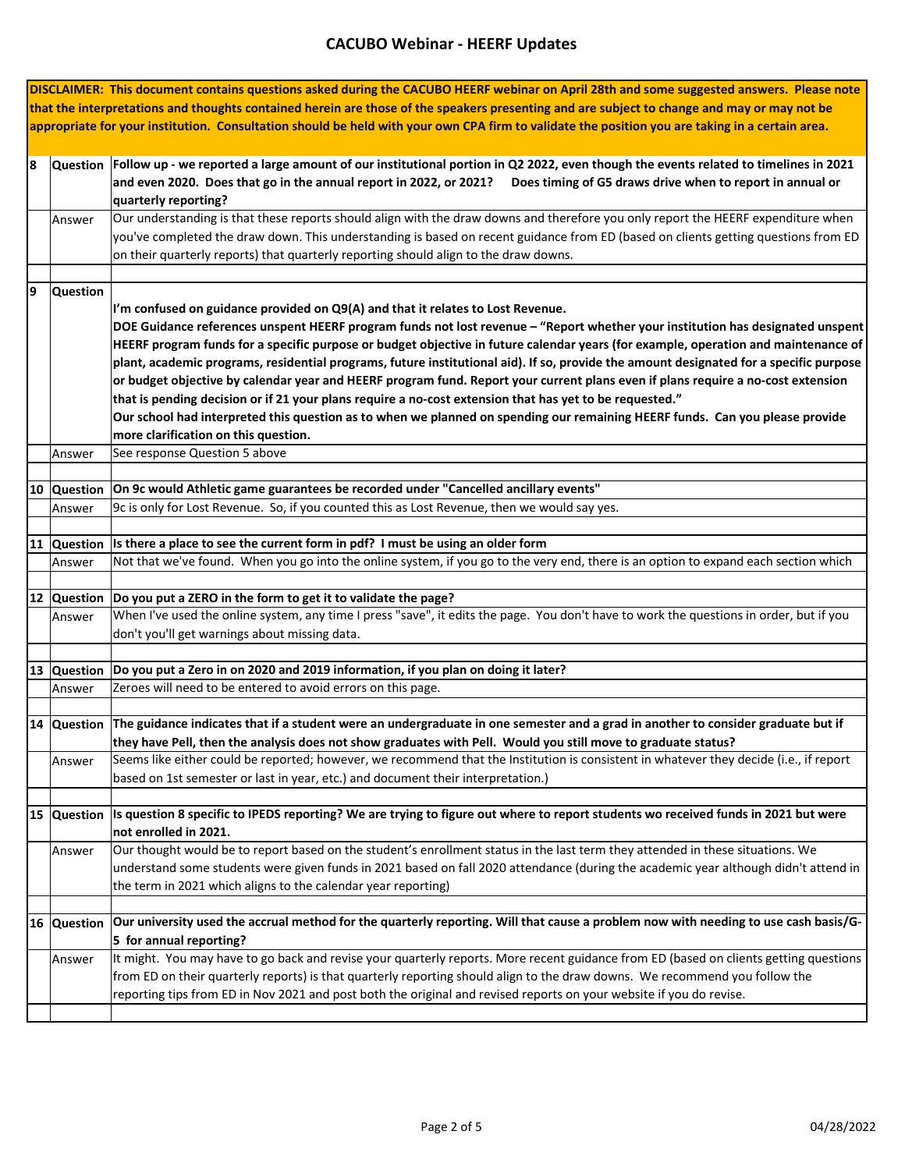|   |             | DISCLAIMER: This document contains questions asked during the CACUBO HEERF webinar on April 28th and some suggested answers. Please note        |
|---|-------------|-------------------------------------------------------------------------------------------------------------------------------------------------|
|   |             | that the interpretations and thoughts contained herein are those of the speakers presenting and are subject to change and may or may not be     |
|   |             | appropriate for your institution. Consultation should be held with your own CPA firm to validate the position you are taking in a certain area. |
|   |             |                                                                                                                                                 |
|   |             |                                                                                                                                                 |
| 8 |             | Question   Follow up - we reported a large amount of our institutional portion in Q2 2022, even though the events related to timelines in 2021  |
|   |             | and even 2020. Does that go in the annual report in 2022, or 2021? Does timing of G5 draws drive when to report in annual or                    |
|   |             | quarterly reporting?                                                                                                                            |
|   |             |                                                                                                                                                 |
|   | Answer      | Our understanding is that these reports should align with the draw downs and therefore you only report the HEERF expenditure when               |
|   |             | you've completed the draw down. This understanding is based on recent guidance from ED (based on clients getting questions from ED              |
|   |             | on their quarterly reports) that quarterly reporting should align to the draw downs.                                                            |
|   |             |                                                                                                                                                 |
|   |             |                                                                                                                                                 |
| 9 | Question    |                                                                                                                                                 |
|   |             | I'm confused on guidance provided on Q9(A) and that it relates to Lost Revenue.                                                                 |
|   |             | DOE Guidance references unspent HEERF program funds not lost revenue - "Report whether your institution has designated unspent                  |
|   |             | HEERF program funds for a specific purpose or budget objective in future calendar years (for example, operation and maintenance of              |
|   |             |                                                                                                                                                 |
|   |             | plant, academic programs, residential programs, future institutional aid). If so, provide the amount designated for a specific purpose          |
|   |             | or budget objective by calendar year and HEERF program fund. Report your current plans even if plans require a no-cost extension                |
|   |             | that is pending decision or if 21 your plans require a no-cost extension that has yet to be requested."                                         |
|   |             |                                                                                                                                                 |
|   |             | Our school had interpreted this question as to when we planned on spending our remaining HEERF funds. Can you please provide                    |
|   |             | more clarification on this question.                                                                                                            |
|   | Answer      | See response Question 5 above                                                                                                                   |
|   |             |                                                                                                                                                 |
|   |             |                                                                                                                                                 |
|   | 10 Question | On 9c would Athletic game guarantees be recorded under "Cancelled ancillary events"                                                             |
|   | Answer      | 9c is only for Lost Revenue. So, if you counted this as Lost Revenue, then we would say yes.                                                    |
|   |             |                                                                                                                                                 |
|   |             | 11 Question Is there a place to see the current form in pdf? I must be using an older form                                                      |
|   |             |                                                                                                                                                 |
|   | Answer      | Not that we've found. When you go into the online system, if you go to the very end, there is an option to expand each section which            |
|   |             |                                                                                                                                                 |
|   |             | 12 Question Do you put a ZERO in the form to get it to validate the page?                                                                       |
|   | Answer      | When I've used the online system, any time I press "save", it edits the page. You don't have to work the questions in order, but if you         |
|   |             |                                                                                                                                                 |
|   |             | don't you'll get warnings about missing data.                                                                                                   |
|   |             |                                                                                                                                                 |
|   |             | 13 Question Do you put a Zero in on 2020 and 2019 information, if you plan on doing it later?                                                   |
|   | Answer      | Zeroes will need to be entered to avoid errors on this page.                                                                                    |
|   |             |                                                                                                                                                 |
|   |             |                                                                                                                                                 |
|   |             | 14 Question The guidance indicates that if a student were an undergraduate in one semester and a grad in another to consider graduate but if    |
|   |             | they have Pell, then the analysis does not show graduates with Pell. Would you still move to graduate status?                                   |
|   | Answer      | Seems like either could be reported; however, we recommend that the Institution is consistent in whatever they decide (i.e., if report          |
|   |             | based on 1st semester or last in year, etc.) and document their interpretation.)                                                                |
|   |             |                                                                                                                                                 |
|   |             |                                                                                                                                                 |
|   |             | 15 Question  Is question 8 specific to IPEDS reporting? We are trying to figure out where to report students wo received funds in 2021 but were |
|   |             | not enrolled in 2021.                                                                                                                           |
|   | Answer      | Our thought would be to report based on the student's enrollment status in the last term they attended in these situations. We                  |
|   |             |                                                                                                                                                 |
|   |             | understand some students were given funds in 2021 based on fall 2020 attendance (during the academic year although didn't attend in             |
|   |             | the term in 2021 which aligns to the calendar year reporting)                                                                                   |
|   |             |                                                                                                                                                 |
|   |             | Our university used the accrual method for the quarterly reporting. Will that cause a problem now with needing to use cash basis/G-             |
|   | 16 Question |                                                                                                                                                 |
|   |             | 5 for annual reporting?                                                                                                                         |
|   | Answer      | It might. You may have to go back and revise your quarterly reports. More recent guidance from ED (based on clients getting questions           |
|   |             | from ED on their quarterly reports) is that quarterly reporting should align to the draw downs. We recommend you follow the                     |
|   |             |                                                                                                                                                 |
|   |             | reporting tips from ED in Nov 2021 and post both the original and revised reports on your website if you do revise.                             |
|   |             |                                                                                                                                                 |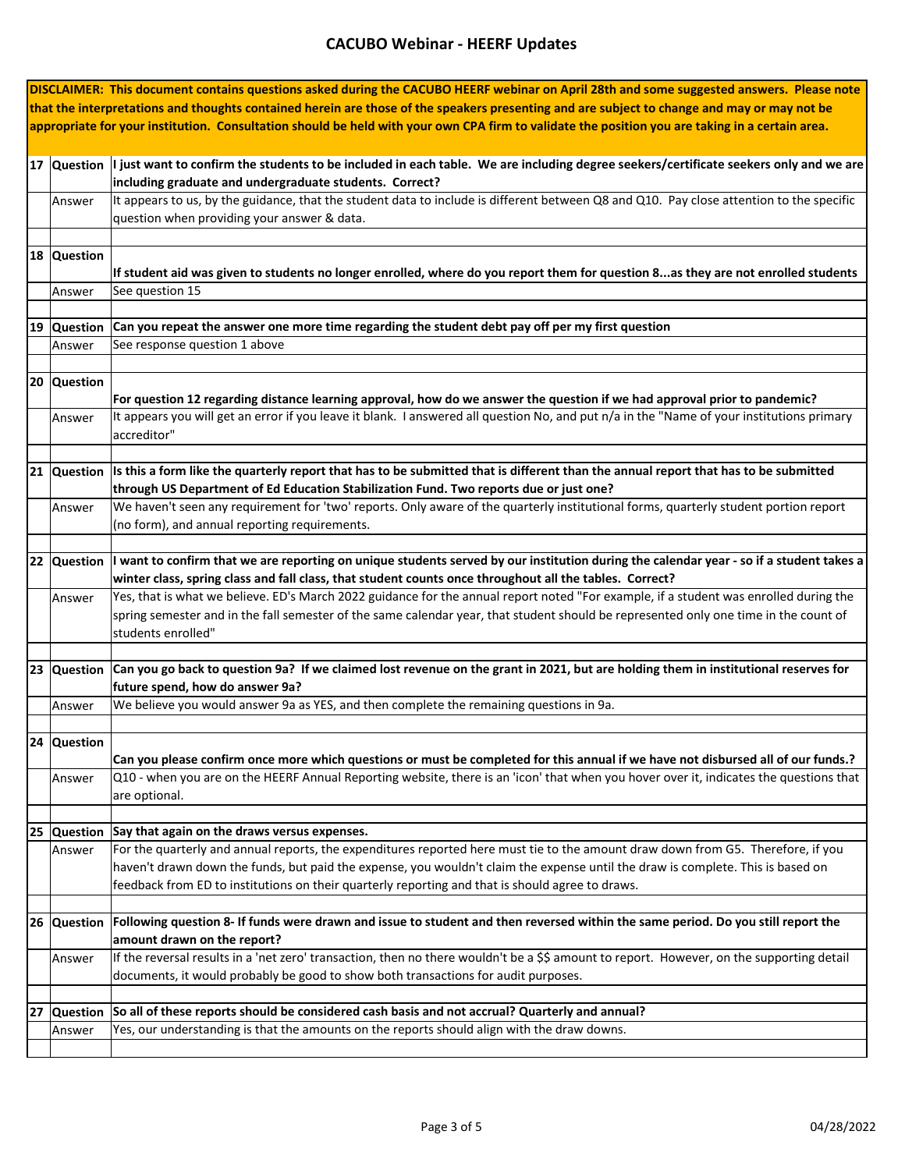|    |             | DISCLAIMER: This document contains questions asked during the CACUBO HEERF webinar on April 28th and some suggested answers. Please note            |
|----|-------------|-----------------------------------------------------------------------------------------------------------------------------------------------------|
|    |             | that the interpretations and thoughts contained herein are those of the speakers presenting and are subject to change and may or may not be         |
|    |             | appropriate for your institution. Consultation should be held with your own CPA firm to validate the position you are taking in a certain area.     |
|    |             |                                                                                                                                                     |
|    |             |                                                                                                                                                     |
|    |             | 17 Question I just want to confirm the students to be included in each table. We are including degree seekers/certificate seekers only and we are   |
|    |             | including graduate and undergraduate students. Correct?                                                                                             |
|    | Answer      | It appears to us, by the guidance, that the student data to include is different between Q8 and Q10. Pay close attention to the specific            |
|    |             | question when providing your answer & data.                                                                                                         |
|    |             |                                                                                                                                                     |
|    | 18 Question |                                                                                                                                                     |
|    |             | If student aid was given to students no longer enrolled, where do you report them for question 8as they are not enrolled students                   |
|    |             |                                                                                                                                                     |
|    | Answer      | See question 15                                                                                                                                     |
|    |             |                                                                                                                                                     |
|    | 19 Question | Can you repeat the answer one more time regarding the student debt pay off per my first question                                                    |
|    | Answer      | See response question 1 above                                                                                                                       |
|    |             |                                                                                                                                                     |
|    | 20 Question |                                                                                                                                                     |
|    |             | For question 12 regarding distance learning approval, how do we answer the question if we had approval prior to pandemic?                           |
|    | Answer      | It appears you will get an error if you leave it blank. I answered all question No, and put n/a in the "Name of your institutions primary           |
|    |             | accreditor"                                                                                                                                         |
|    |             |                                                                                                                                                     |
|    |             |                                                                                                                                                     |
|    |             | $ 21 $ Question is this a form like the quarterly report that has to be submitted that is different than the annual report that has to be submitted |
|    |             | through US Department of Ed Education Stabilization Fund. Two reports due or just one?                                                              |
|    | Answer      | We haven't seen any requirement for 'two' reports. Only aware of the quarterly institutional forms, quarterly student portion report                |
|    |             | (no form), and annual reporting requirements.                                                                                                       |
|    |             |                                                                                                                                                     |
|    | 22 Question | I want to confirm that we are reporting on unique students served by our institution during the calendar year - so if a student takes a             |
|    |             | winter class, spring class and fall class, that student counts once throughout all the tables. Correct?                                             |
|    | Answer      | Yes, that is what we believe. ED's March 2022 guidance for the annual report noted "For example, if a student was enrolled during the               |
|    |             | spring semester and in the fall semester of the same calendar year, that student should be represented only one time in the count of                |
|    |             | students enrolled"                                                                                                                                  |
|    |             |                                                                                                                                                     |
|    |             |                                                                                                                                                     |
|    | 23 Question | Can you go back to question 9a? If we claimed lost revenue on the grant in 2021, but are holding them in institutional reserves for                 |
|    |             | future spend, how do answer 9a?                                                                                                                     |
|    | Answer      | We believe you would answer 9a as YES, and then complete the remaining questions in 9a.                                                             |
|    |             |                                                                                                                                                     |
|    | 24 Question |                                                                                                                                                     |
|    |             | Can you please confirm once more which questions or must be completed for this annual if we have not disbursed all of our funds.?                   |
|    | Answer      | Q10 - when you are on the HEERF Annual Reporting website, there is an 'icon' that when you hover over it, indicates the questions that              |
|    |             | are optional.                                                                                                                                       |
|    |             |                                                                                                                                                     |
|    |             | 25 Question Say that again on the draws versus expenses.                                                                                            |
|    | Answer      | For the quarterly and annual reports, the expenditures reported here must tie to the amount draw down from G5. Therefore, if you                    |
|    |             | haven't drawn down the funds, but paid the expense, you wouldn't claim the expense until the draw is complete. This is based on                     |
|    |             | feedback from ED to institutions on their quarterly reporting and that is should agree to draws.                                                    |
|    |             |                                                                                                                                                     |
|    |             |                                                                                                                                                     |
|    |             | 26 Question Following question 8- If funds were drawn and issue to student and then reversed within the same period. Do you still report the        |
|    |             | amount drawn on the report?                                                                                                                         |
|    | Answer      | If the reversal results in a 'net zero' transaction, then no there wouldn't be a \$\$ amount to report. However, on the supporting detail           |
|    |             | documents, it would probably be good to show both transactions for audit purposes.                                                                  |
|    |             |                                                                                                                                                     |
| 27 |             | Question So all of these reports should be considered cash basis and not accrual? Quarterly and annual?                                             |
|    | Answer      | Yes, our understanding is that the amounts on the reports should align with the draw downs.                                                         |
|    |             |                                                                                                                                                     |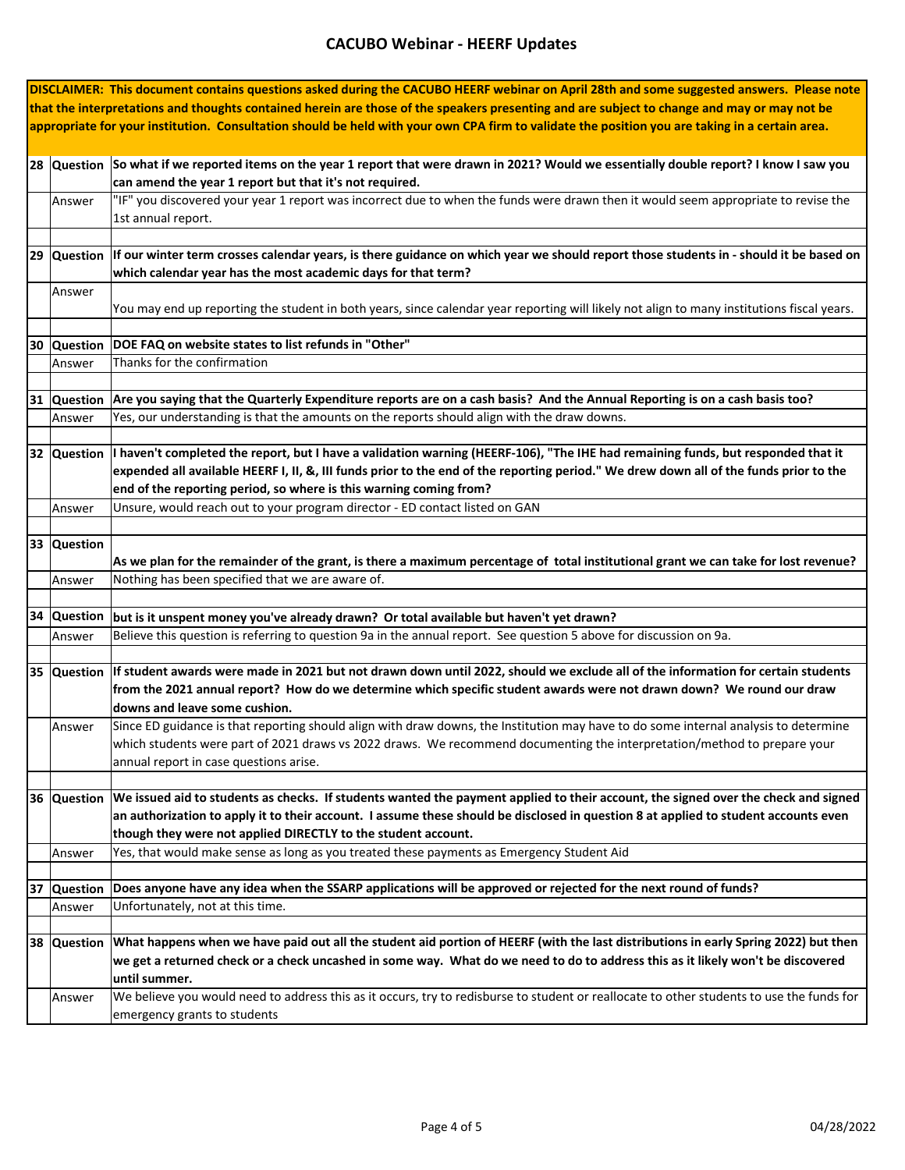| DISCLAIMER: This document contains questions asked during the CACUBO HEERF webinar on April 28th and some suggested answers. Please note    |                                                                                                                                                                                                               |  |  |  |  |
|---------------------------------------------------------------------------------------------------------------------------------------------|---------------------------------------------------------------------------------------------------------------------------------------------------------------------------------------------------------------|--|--|--|--|
| that the interpretations and thoughts contained herein are those of the speakers presenting and are subject to change and may or may not be |                                                                                                                                                                                                               |  |  |  |  |
|                                                                                                                                             | appropriate for your institution. Consultation should be held with your own CPA firm to validate the position you are taking in a certain area.                                                               |  |  |  |  |
|                                                                                                                                             |                                                                                                                                                                                                               |  |  |  |  |
|                                                                                                                                             |                                                                                                                                                                                                               |  |  |  |  |
|                                                                                                                                             | 28 Question So what if we reported items on the year 1 report that were drawn in 2021? Would we essentially double report? I know I saw you                                                                   |  |  |  |  |
|                                                                                                                                             | can amend the year 1 report but that it's not required.                                                                                                                                                       |  |  |  |  |
| Answer                                                                                                                                      | "IF" you discovered your year 1 report was incorrect due to when the funds were drawn then it would seem appropriate to revise the                                                                            |  |  |  |  |
|                                                                                                                                             | 1st annual report.                                                                                                                                                                                            |  |  |  |  |
|                                                                                                                                             |                                                                                                                                                                                                               |  |  |  |  |
|                                                                                                                                             | 29 Question If our winter term crosses calendar years, is there guidance on which year we should report those students in - should it be based on                                                             |  |  |  |  |
|                                                                                                                                             | which calendar year has the most academic days for that term?                                                                                                                                                 |  |  |  |  |
| Answer                                                                                                                                      |                                                                                                                                                                                                               |  |  |  |  |
|                                                                                                                                             | You may end up reporting the student in both years, since calendar year reporting will likely not align to many institutions fiscal years.                                                                    |  |  |  |  |
|                                                                                                                                             |                                                                                                                                                                                                               |  |  |  |  |
| 30 Question                                                                                                                                 | DOE FAQ on website states to list refunds in "Other"                                                                                                                                                          |  |  |  |  |
| Answer                                                                                                                                      | Thanks for the confirmation                                                                                                                                                                                   |  |  |  |  |
|                                                                                                                                             |                                                                                                                                                                                                               |  |  |  |  |
| 31 Question                                                                                                                                 | Are you saying that the Quarterly Expenditure reports are on a cash basis? And the Annual Reporting is on a cash basis too?                                                                                   |  |  |  |  |
| Answer                                                                                                                                      | Yes, our understanding is that the amounts on the reports should align with the draw downs.                                                                                                                   |  |  |  |  |
|                                                                                                                                             |                                                                                                                                                                                                               |  |  |  |  |
|                                                                                                                                             | 32 Question I haven't completed the report, but I have a validation warning (HEERF-106), "The IHE had remaining funds, but responded that it                                                                  |  |  |  |  |
|                                                                                                                                             | expended all available HEERF I, II, &, III funds prior to the end of the reporting period." We drew down all of the funds prior to the                                                                        |  |  |  |  |
|                                                                                                                                             | end of the reporting period, so where is this warning coming from?                                                                                                                                            |  |  |  |  |
| Answer                                                                                                                                      | Unsure, would reach out to your program director - ED contact listed on GAN                                                                                                                                   |  |  |  |  |
|                                                                                                                                             |                                                                                                                                                                                                               |  |  |  |  |
| 33 Question                                                                                                                                 |                                                                                                                                                                                                               |  |  |  |  |
|                                                                                                                                             | As we plan for the remainder of the grant, is there a maximum percentage of total institutional grant we can take for lost revenue?                                                                           |  |  |  |  |
| Answer                                                                                                                                      | Nothing has been specified that we are aware of.                                                                                                                                                              |  |  |  |  |
|                                                                                                                                             |                                                                                                                                                                                                               |  |  |  |  |
| 34 Question                                                                                                                                 | but is it unspent money you've already drawn? Or total available but haven't yet drawn?<br>Believe this question is referring to question 9a in the annual report. See question 5 above for discussion on 9a. |  |  |  |  |
| Answer                                                                                                                                      |                                                                                                                                                                                                               |  |  |  |  |
| 35 Question                                                                                                                                 | If student awards were made in 2021 but not drawn down until 2022, should we exclude all of the information for certain students                                                                              |  |  |  |  |
|                                                                                                                                             | from the 2021 annual report? How do we determine which specific student awards were not drawn down? We round our draw                                                                                         |  |  |  |  |
|                                                                                                                                             | downs and leave some cushion.                                                                                                                                                                                 |  |  |  |  |
| Answer                                                                                                                                      | Since ED guidance is that reporting should align with draw downs, the Institution may have to do some internal analysis to determine                                                                          |  |  |  |  |
|                                                                                                                                             | which students were part of 2021 draws vs 2022 draws. We recommend documenting the interpretation/method to prepare your                                                                                      |  |  |  |  |
|                                                                                                                                             |                                                                                                                                                                                                               |  |  |  |  |
|                                                                                                                                             | annual report in case questions arise.                                                                                                                                                                        |  |  |  |  |
|                                                                                                                                             | 36 Question We issued aid to students as checks. If students wanted the payment applied to their account, the signed over the check and signed                                                                |  |  |  |  |
|                                                                                                                                             | an authorization to apply it to their account. I assume these should be disclosed in question 8 at applied to student accounts even                                                                           |  |  |  |  |
|                                                                                                                                             | though they were not applied DIRECTLY to the student account.                                                                                                                                                 |  |  |  |  |
| Answer                                                                                                                                      | Yes, that would make sense as long as you treated these payments as Emergency Student Aid                                                                                                                     |  |  |  |  |
|                                                                                                                                             |                                                                                                                                                                                                               |  |  |  |  |
| 37 Question                                                                                                                                 | Does anyone have any idea when the SSARP applications will be approved or rejected for the next round of funds?                                                                                               |  |  |  |  |
| Answer                                                                                                                                      | Unfortunately, not at this time.                                                                                                                                                                              |  |  |  |  |
|                                                                                                                                             |                                                                                                                                                                                                               |  |  |  |  |
| 38 Question                                                                                                                                 | What happens when we have paid out all the student aid portion of HEERF (with the last distributions in early Spring 2022) but then                                                                           |  |  |  |  |
|                                                                                                                                             | we get a returned check or a check uncashed in some way. What do we need to do to address this as it likely won't be discovered                                                                               |  |  |  |  |
|                                                                                                                                             | until summer.                                                                                                                                                                                                 |  |  |  |  |
| Answer                                                                                                                                      | We believe you would need to address this as it occurs, try to redisburse to student or reallocate to other students to use the funds for                                                                     |  |  |  |  |
|                                                                                                                                             | emergency grants to students                                                                                                                                                                                  |  |  |  |  |
|                                                                                                                                             |                                                                                                                                                                                                               |  |  |  |  |